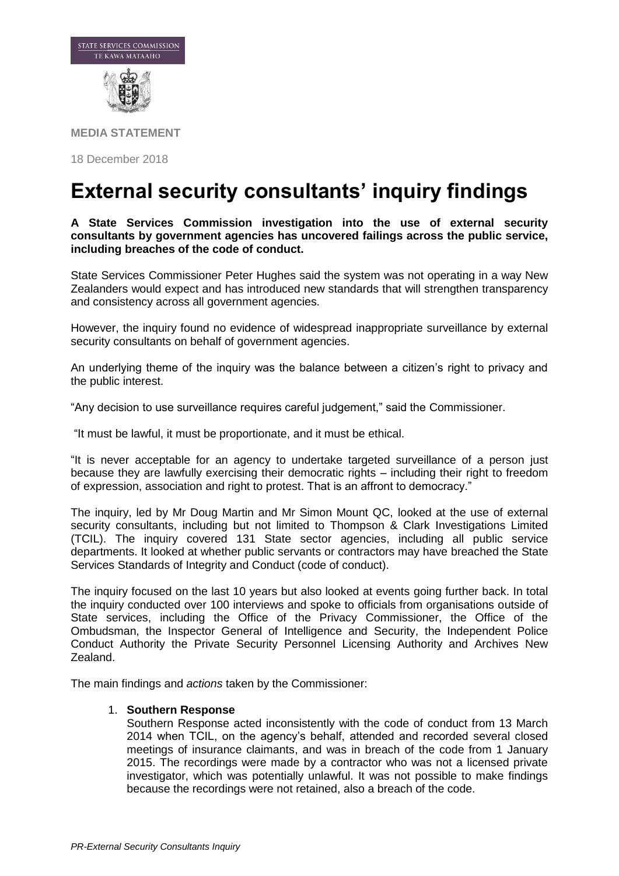

**MEDIA STATEMENT**

18 December 2018

# **External security consultants' inquiry findings**

## **A State Services Commission investigation into the use of external security consultants by government agencies has uncovered failings across the public service, including breaches of the code of conduct.**

State Services Commissioner Peter Hughes said the system was not operating in a way New Zealanders would expect and has introduced new standards that will strengthen transparency and consistency across all government agencies.

However, the inquiry found no evidence of widespread inappropriate surveillance by external security consultants on behalf of government agencies.

An underlying theme of the inquiry was the balance between a citizen's right to privacy and the public interest.

"Any decision to use surveillance requires careful judgement," said the Commissioner.

"It must be lawful, it must be proportionate, and it must be ethical.

"It is never acceptable for an agency to undertake targeted surveillance of a person just because they are lawfully exercising their democratic rights – including their right to freedom of expression, association and right to protest. That is an affront to democracy."

The inquiry, led by Mr Doug Martin and Mr Simon Mount QC, looked at the use of external security consultants, including but not limited to Thompson & Clark Investigations Limited (TCIL). The inquiry covered 131 State sector agencies, including all public service departments. It looked at whether public servants or contractors may have breached the State Services Standards of Integrity and Conduct (code of conduct).

The inquiry focused on the last 10 years but also looked at events going further back. In total the inquiry conducted over 100 interviews and spoke to officials from organisations outside of State services, including the Office of the Privacy Commissioner, the Office of the Ombudsman, the Inspector General of Intelligence and Security, the Independent Police Conduct Authority the Private Security Personnel Licensing Authority and Archives New Zealand.

The main findings and *actions* taken by the Commissioner:

### 1. **Southern Response**

Southern Response acted inconsistently with the code of conduct from 13 March 2014 when TCIL, on the agency's behalf, attended and recorded several closed meetings of insurance claimants, and was in breach of the code from 1 January 2015. The recordings were made by a contractor who was not a licensed private investigator, which was potentially unlawful. It was not possible to make findings because the recordings were not retained, also a breach of the code.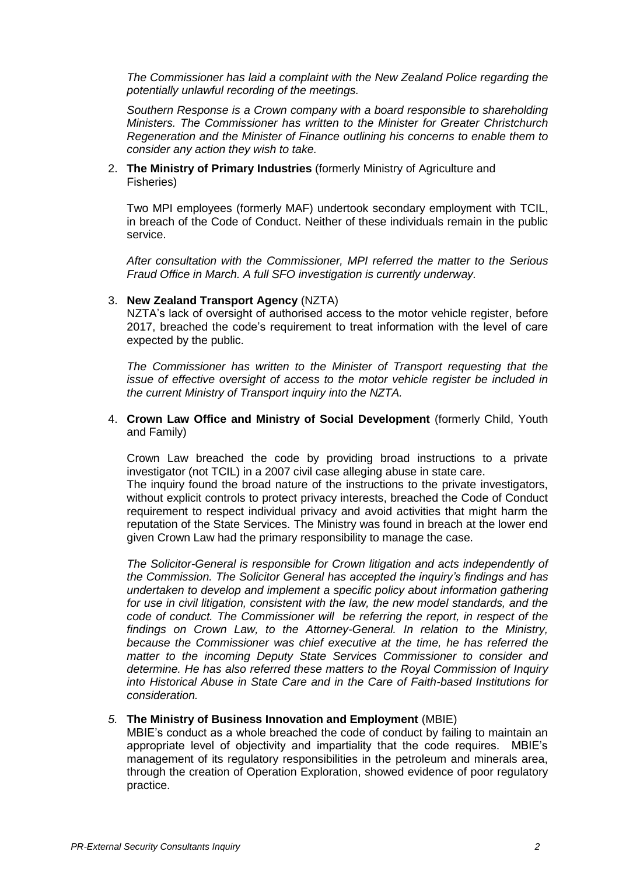*The Commissioner has laid a complaint with the New Zealand Police regarding the potentially unlawful recording of the meetings.*

*Southern Response is a Crown company with a board responsible to shareholding Ministers. The Commissioner has written to the Minister for Greater Christchurch Regeneration and the Minister of Finance outlining his concerns to enable them to consider any action they wish to take.*

2. **The Ministry of Primary Industries** (formerly Ministry of Agriculture and Fisheries)

Two MPI employees (formerly MAF) undertook secondary employment with TCIL, in breach of the Code of Conduct. Neither of these individuals remain in the public service.

*After consultation with the Commissioner, MPI referred the matter to the Serious Fraud Office in March. A full SFO investigation is currently underway.*

### 3. **New Zealand Transport Agency** (NZTA)

NZTA's lack of oversight of authorised access to the motor vehicle register, before 2017, breached the code's requirement to treat information with the level of care expected by the public.

*The Commissioner has written to the Minister of Transport requesting that the issue of effective oversight of access to the motor vehicle register be included in the current Ministry of Transport inquiry into the NZTA.*

## 4. **Crown Law Office and Ministry of Social Development** (formerly Child, Youth and Family)

Crown Law breached the code by providing broad instructions to a private investigator (not TCIL) in a 2007 civil case alleging abuse in state care.

The inquiry found the broad nature of the instructions to the private investigators, without explicit controls to protect privacy interests, breached the Code of Conduct requirement to respect individual privacy and avoid activities that might harm the reputation of the State Services. The Ministry was found in breach at the lower end given Crown Law had the primary responsibility to manage the case.

*The Solicitor-General is responsible for Crown litigation and acts independently of the Commission. The Solicitor General has accepted the inquiry's findings and has undertaken to develop and implement a specific policy about information gathering for use in civil litigation, consistent with the law, the new model standards, and the code of conduct. The Commissioner will be referring the report, in respect of the findings on Crown Law, to the Attorney-General. In relation to the Ministry, because the Commissioner was chief executive at the time, he has referred the matter to the incoming Deputy State Services Commissioner to consider and determine. He has also referred these matters to the Royal Commission of Inquiry into Historical Abuse in State Care and in the Care of Faith-based Institutions for consideration.* 

# *5.* **The Ministry of Business Innovation and Employment** (MBIE)

MBIE's conduct as a whole breached the code of conduct by failing to maintain an appropriate level of objectivity and impartiality that the code requires. MBIE's management of its regulatory responsibilities in the petroleum and minerals area, through the creation of Operation Exploration, showed evidence of poor regulatory practice.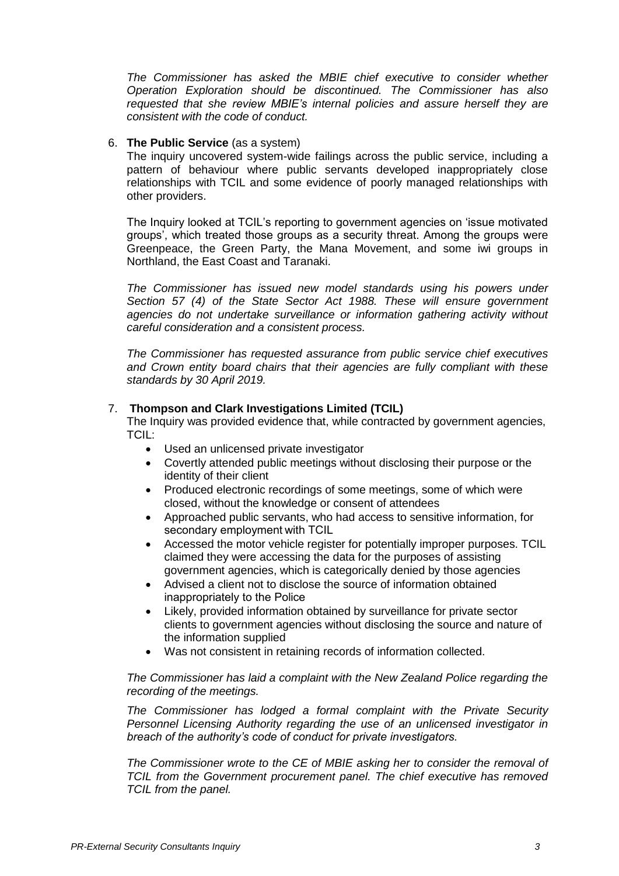*The Commissioner has asked the MBIE chief executive to consider whether Operation Exploration should be discontinued. The Commissioner has also requested that she review MBIE's internal policies and assure herself they are consistent with the code of conduct.*

# 6. **The Public Service** (as a system)

The inquiry uncovered system-wide failings across the public service, including a pattern of behaviour where public servants developed inappropriately close relationships with TCIL and some evidence of poorly managed relationships with other providers.

The Inquiry looked at TCIL's reporting to government agencies on 'issue motivated groups', which treated those groups as a security threat. Among the groups were Greenpeace, the Green Party, the Mana Movement, and some iwi groups in Northland, the East Coast and Taranaki.

*The Commissioner has issued new model standards using his powers under Section 57 (4) of the State Sector Act 1988. These will ensure government agencies do not undertake surveillance or information gathering activity without careful consideration and a consistent process.*

*The Commissioner has requested assurance from public service chief executives and Crown entity board chairs that their agencies are fully compliant with these standards by 30 April 2019.* 

### 7. **Thompson and Clark Investigations Limited (TCIL)**

The Inquiry was provided evidence that, while contracted by government agencies, TCIL:

- Used an unlicensed private investigator
- Covertly attended public meetings without disclosing their purpose or the identity of their client
- Produced electronic recordings of some meetings, some of which were closed, without the knowledge or consent of attendees
- Approached public servants, who had access to sensitive information, for secondary employment with TCIL
- Accessed the motor vehicle register for potentially improper purposes. TCIL claimed they were accessing the data for the purposes of assisting government agencies, which is categorically denied by those agencies
- Advised a client not to disclose the source of information obtained inappropriately to the Police
- Likely, provided information obtained by surveillance for private sector clients to government agencies without disclosing the source and nature of the information supplied
- Was not consistent in retaining records of information collected.

*The Commissioner has laid a complaint with the New Zealand Police regarding the recording of the meetings.*

*The Commissioner has lodged a formal complaint with the Private Security Personnel Licensing Authority regarding the use of an unlicensed investigator in breach of the authority's code of conduct for private investigators.*

*The Commissioner wrote to the CE of MBIE asking her to consider the removal of TCIL from the Government procurement panel. The chief executive has removed TCIL from the panel.*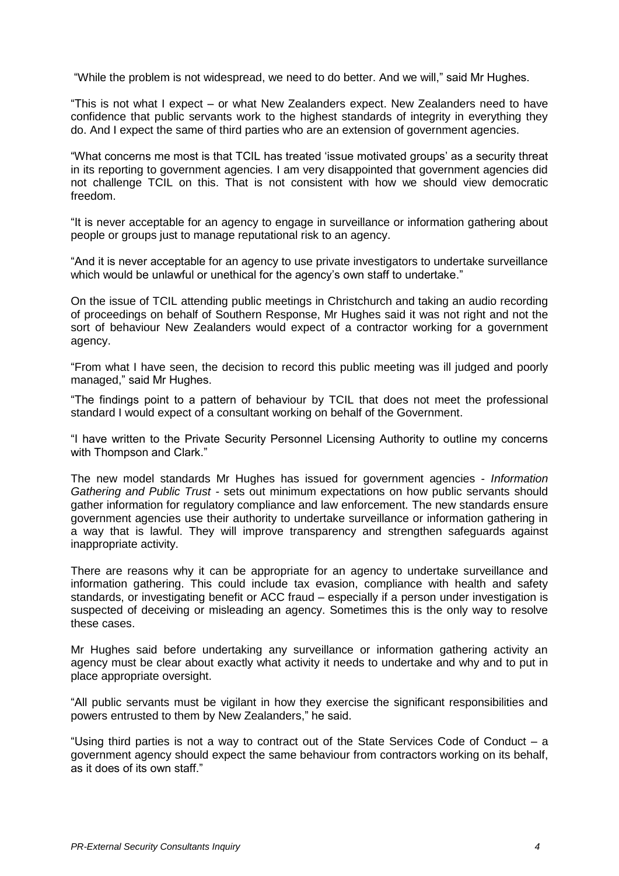"While the problem is not widespread, we need to do better. And we will," said Mr Hughes.

"This is not what I expect – or what New Zealanders expect. New Zealanders need to have confidence that public servants work to the highest standards of integrity in everything they do. And I expect the same of third parties who are an extension of government agencies.

"What concerns me most is that TCIL has treated 'issue motivated groups' as a security threat in its reporting to government agencies. I am very disappointed that government agencies did not challenge TCIL on this. That is not consistent with how we should view democratic freedom.

"It is never acceptable for an agency to engage in surveillance or information gathering about people or groups just to manage reputational risk to an agency.

"And it is never acceptable for an agency to use private investigators to undertake surveillance which would be unlawful or unethical for the agency's own staff to undertake."

On the issue of TCIL attending public meetings in Christchurch and taking an audio recording of proceedings on behalf of Southern Response, Mr Hughes said it was not right and not the sort of behaviour New Zealanders would expect of a contractor working for a government agency.

"From what I have seen, the decision to record this public meeting was ill judged and poorly managed," said Mr Hughes.

"The findings point to a pattern of behaviour by TCIL that does not meet the professional standard I would expect of a consultant working on behalf of the Government.

"I have written to the Private Security Personnel Licensing Authority to outline my concerns with Thompson and Clark."

The new model standards Mr Hughes has issued for government agencies - *Information Gathering and Public Trust -* sets out minimum expectations on how public servants should gather information for regulatory compliance and law enforcement. The new standards ensure government agencies use their authority to undertake surveillance or information gathering in a way that is lawful. They will improve transparency and strengthen safeguards against inappropriate activity.

There are reasons why it can be appropriate for an agency to undertake surveillance and information gathering. This could include tax evasion, compliance with health and safety standards, or investigating benefit or ACC fraud – especially if a person under investigation is suspected of deceiving or misleading an agency. Sometimes this is the only way to resolve these cases.

Mr Hughes said before undertaking any surveillance or information gathering activity an agency must be clear about exactly what activity it needs to undertake and why and to put in place appropriate oversight.

"All public servants must be vigilant in how they exercise the significant responsibilities and powers entrusted to them by New Zealanders," he said.

"Using third parties is not a way to contract out of the State Services Code of Conduct – a government agency should expect the same behaviour from contractors working on its behalf, as it does of its own staff."